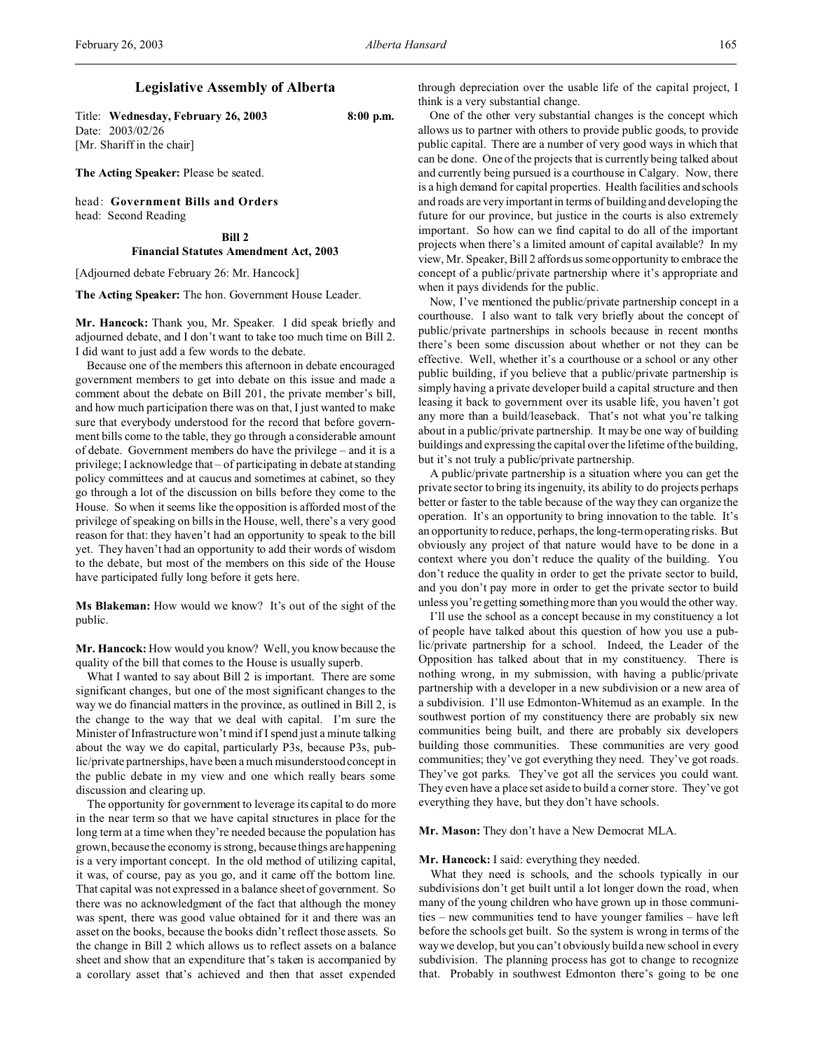# **Legislative Assembly of Alberta**

Title: **Wednesday, February 26, 2003 8:00 p.m.** Date: 2003/02/26 [Mr. Shariff in the chair]

**The Acting Speaker:** Please be seated.

head: **Government Bills and Orders** head: Second Reading

#### **Bill 2**

# **Financial Statutes Amendment Act, 2003**

[Adjourned debate February 26: Mr. Hancock]

**The Acting Speaker:** The hon. Government House Leader.

**Mr. Hancock:** Thank you, Mr. Speaker. I did speak briefly and adjourned debate, and I don't want to take too much time on Bill 2. I did want to just add a few words to the debate.

Because one of the members this afternoon in debate encouraged government members to get into debate on this issue and made a comment about the debate on Bill 201, the private member's bill, and how much participation there was on that, I just wanted to make sure that everybody understood for the record that before government bills come to the table, they go through a considerable amount of debate. Government members do have the privilege – and it is a privilege; I acknowledge that – of participating in debate at standing policy committees and at caucus and sometimes at cabinet, so they go through a lot of the discussion on bills before they come to the House. So when it seems like the opposition is afforded most of the privilege of speaking on bills in the House, well, there's a very good reason for that: they haven't had an opportunity to speak to the bill yet. They haven't had an opportunity to add their words of wisdom to the debate, but most of the members on this side of the House have participated fully long before it gets here.

**Ms Blakeman:** How would we know? It's out of the sight of the public.

**Mr. Hancock:** How would you know? Well, you know because the quality of the bill that comes to the House is usually superb.

What I wanted to say about Bill 2 is important. There are some significant changes, but one of the most significant changes to the way we do financial matters in the province, as outlined in Bill 2, is the change to the way that we deal with capital. I'm sure the Minister of Infrastructure won't mind if I spend just a minute talking about the way we do capital, particularly P3s, because P3s, public/private partnerships, have been a much misunderstood concept in the public debate in my view and one which really bears some discussion and clearing up.

The opportunity for government to leverage its capital to do more in the near term so that we have capital structures in place for the long term at a time when they're needed because the population has grown, because the economy is strong, because things are happening is a very important concept. In the old method of utilizing capital, it was, of course, pay as you go, and it came off the bottom line. That capital was not expressed in a balance sheet of government. So there was no acknowledgment of the fact that although the money was spent, there was good value obtained for it and there was an asset on the books, because the books didn't reflect those assets. So the change in Bill 2 which allows us to reflect assets on a balance sheet and show that an expenditure that's taken is accompanied by a corollary asset that's achieved and then that asset expended

through depreciation over the usable life of the capital project, I think is a very substantial change.

One of the other very substantial changes is the concept which allows us to partner with others to provide public goods, to provide public capital. There are a number of very good ways in which that can be done. One of the projects that is currently being talked about and currently being pursued is a courthouse in Calgary. Now, there is a high demand for capital properties. Health facilities and schools and roads are very important in terms of building and developing the future for our province, but justice in the courts is also extremely important. So how can we find capital to do all of the important projects when there's a limited amount of capital available? In my view, Mr. Speaker, Bill 2 affords us some opportunity to embrace the concept of a public/private partnership where it's appropriate and when it pays dividends for the public.

Now, I've mentioned the public/private partnership concept in a courthouse. I also want to talk very briefly about the concept of public/private partnerships in schools because in recent months there's been some discussion about whether or not they can be effective. Well, whether it's a courthouse or a school or any other public building, if you believe that a public/private partnership is simply having a private developer build a capital structure and then leasing it back to government over its usable life, you haven't got any more than a build/leaseback. That's not what you're talking about in a public/private partnership. It may be one way of building buildings and expressing the capital over the lifetime of the building, but it's not truly a public/private partnership.

A public/private partnership is a situation where you can get the private sector to bring its ingenuity, its ability to do projects perhaps better or faster to the table because of the way they can organize the operation. It's an opportunity to bring innovation to the table. It's an opportunity to reduce, perhaps, the long-term operating risks. But obviously any project of that nature would have to be done in a context where you don't reduce the quality of the building. You don't reduce the quality in order to get the private sector to build, and you don't pay more in order to get the private sector to build unless you're getting something more than you would the other way.

I'll use the school as a concept because in my constituency a lot of people have talked about this question of how you use a public/private partnership for a school. Indeed, the Leader of the Opposition has talked about that in my constituency. There is nothing wrong, in my submission, with having a public/private partnership with a developer in a new subdivision or a new area of a subdivision. I'll use Edmonton-Whitemud as an example. In the southwest portion of my constituency there are probably six new communities being built, and there are probably six developers building those communities. These communities are very good communities; they've got everything they need. They've got roads. They've got parks. They've got all the services you could want. They even have a place set aside to build a corner store. They've got everything they have, but they don't have schools.

### **Mr. Mason:** They don't have a New Democrat MLA.

### **Mr. Hancock:** I said: everything they needed.

What they need is schools, and the schools typically in our subdivisions don't get built until a lot longer down the road, when many of the young children who have grown up in those communities – new communities tend to have younger families – have left before the schools get built. So the system is wrong in terms of the way we develop, but you can't obviously build a new school in every subdivision. The planning process has got to change to recognize that. Probably in southwest Edmonton there's going to be one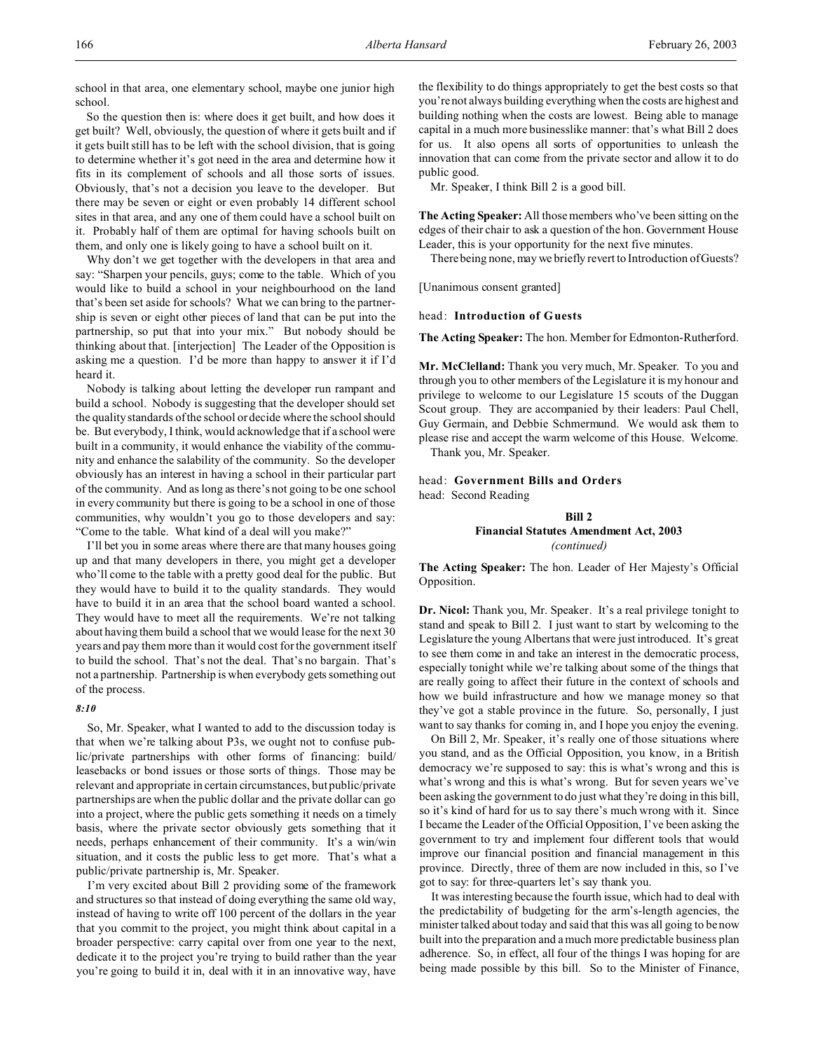school in that area, one elementary school, maybe one junior high school.

So the question then is: where does it get built, and how does it get built? Well, obviously, the question of where it gets built and if it gets built still has to be left with the school division, that is going to determine whether it's got need in the area and determine how it fits in its complement of schools and all those sorts of issues. Obviously, that's not a decision you leave to the developer. But there may be seven or eight or even probably 14 different school sites in that area, and any one of them could have a school built on it. Probably half of them are optimal for having schools built on them, and only one is likely going to have a school built on it.

Why don't we get together with the developers in that area and say: "Sharpen your pencils, guys; come to the table. Which of you would like to build a school in your neighbourhood on the land that's been set aside for schools? What we can bring to the partnership is seven or eight other pieces of land that can be put into the partnership, so put that into your mix." But nobody should be thinking about that. [interjection] The Leader of the Opposition is asking me a question. I'd be more than happy to answer it if I'd heard it.

Nobody is talking about letting the developer run rampant and build a school. Nobody is suggesting that the developer should set the quality standards of the school or decide where the school should be. But everybody, I think, would acknowledge that if a school were built in a community, it would enhance the viability of the community and enhance the salability of the community. So the developer obviously has an interest in having a school in their particular part of the community. And as long as there's not going to be one school in every community but there is going to be a school in one of those communities, why wouldn't you go to those developers and say: "Come to the table. What kind of a deal will you make?"

I'll bet you in some areas where there are that many houses going up and that many developers in there, you might get a developer who'll come to the table with a pretty good deal for the public. But they would have to build it to the quality standards. They would have to build it in an area that the school board wanted a school. They would have to meet all the requirements. We're not talking about having them build a school that we would lease for the next 30 years and pay them more than it would cost for the government itself to build the school. That's not the deal. That's no bargain. That's not a partnership. Partnership is when everybody gets something out of the process.

### *8:10*

So, Mr. Speaker, what I wanted to add to the discussion today is that when we're talking about P3s, we ought not to confuse public/private partnerships with other forms of financing: build/ leasebacks or bond issues or those sorts of things. Those may be relevant and appropriate in certain circumstances, but public/private partnerships are when the public dollar and the private dollar can go into a project, where the public gets something it needs on a timely basis, where the private sector obviously gets something that it needs, perhaps enhancement of their community. It's a win/win situation, and it costs the public less to get more. That's what a public/private partnership is, Mr. Speaker.

I'm very excited about Bill 2 providing some of the framework and structures so that instead of doing everything the same old way, instead of having to write off 100 percent of the dollars in the year that you commit to the project, you might think about capital in a broader perspective: carry capital over from one year to the next, dedicate it to the project you're trying to build rather than the year you're going to build it in, deal with it in an innovative way, have

the flexibility to do things appropriately to get the best costs so that you're not always building everything when the costs are highest and building nothing when the costs are lowest. Being able to manage capital in a much more businesslike manner: that's what Bill 2 does for us. It also opens all sorts of opportunities to unleash the innovation that can come from the private sector and allow it to do public good.

Mr. Speaker, I think Bill 2 is a good bill.

**The Acting Speaker:** All those members who've been sitting on the edges of their chair to ask a question of the hon. Government House Leader, this is your opportunity for the next five minutes.

There being none, may we briefly revert to Introduction of Guests?

[Unanimous consent granted]

head: **Introduction of Guests**

**The Acting Speaker:** The hon. Member for Edmonton-Rutherford.

**Mr. McClelland:** Thank you very much, Mr. Speaker. To you and through you to other members of the Legislature it is my honour and privilege to welcome to our Legislature 15 scouts of the Duggan Scout group. They are accompanied by their leaders: Paul Chell, Guy Germain, and Debbie Schmermund. We would ask them to please rise and accept the warm welcome of this House. Welcome. Thank you, Mr. Speaker.

head: **Government Bills and Orders** head: Second Reading

# **Bill 2 Financial Statutes Amendment Act, 2003** *(continued)*

**The Acting Speaker:** The hon. Leader of Her Majesty's Official Opposition.

**Dr. Nicol:** Thank you, Mr. Speaker. It's a real privilege tonight to stand and speak to Bill 2. I just want to start by welcoming to the Legislature the young Albertans that were just introduced. It's great to see them come in and take an interest in the democratic process, especially tonight while we're talking about some of the things that are really going to affect their future in the context of schools and how we build infrastructure and how we manage money so that they've got a stable province in the future. So, personally, I just want to say thanks for coming in, and I hope you enjoy the evening.

On Bill 2, Mr. Speaker, it's really one of those situations where you stand, and as the Official Opposition, you know, in a British democracy we're supposed to say: this is what's wrong and this is what's wrong and this is what's wrong. But for seven years we've been asking the government to do just what they're doing in this bill, so it's kind of hard for us to say there's much wrong with it. Since I became the Leader of the Official Opposition, I've been asking the government to try and implement four different tools that would improve our financial position and financial management in this province. Directly, three of them are now included in this, so I've got to say: for three-quarters let's say thank you.

It was interesting because the fourth issue, which had to deal with the predictability of budgeting for the arm's-length agencies, the minister talked about today and said that this was all going to be now built into the preparation and a much more predictable business plan adherence. So, in effect, all four of the things I was hoping for are being made possible by this bill. So to the Minister of Finance,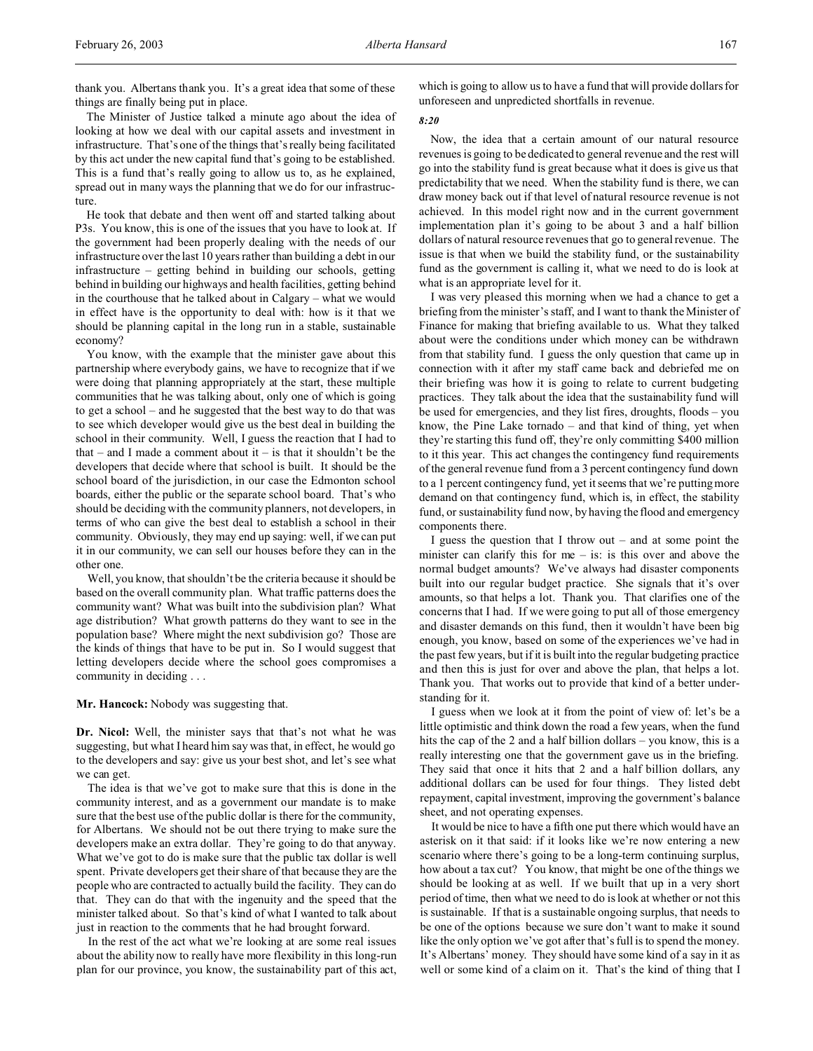thank you. Albertans thank you. It's a great idea that some of these things are finally being put in place.

The Minister of Justice talked a minute ago about the idea of looking at how we deal with our capital assets and investment in infrastructure. That's one of the things that's really being facilitated by this act under the new capital fund that's going to be established. This is a fund that's really going to allow us to, as he explained, spread out in many ways the planning that we do for our infrastructure.

He took that debate and then went off and started talking about P3s. You know, this is one of the issues that you have to look at. If the government had been properly dealing with the needs of our infrastructure over the last 10 years rather than building a debt in our infrastructure – getting behind in building our schools, getting behind in building our highways and health facilities, getting behind in the courthouse that he talked about in Calgary – what we would in effect have is the opportunity to deal with: how is it that we should be planning capital in the long run in a stable, sustainable economy?

You know, with the example that the minister gave about this partnership where everybody gains, we have to recognize that if we were doing that planning appropriately at the start, these multiple communities that he was talking about, only one of which is going to get a school – and he suggested that the best way to do that was to see which developer would give us the best deal in building the school in their community. Well, I guess the reaction that I had to that – and I made a comment about it – is that it shouldn't be the developers that decide where that school is built. It should be the school board of the jurisdiction, in our case the Edmonton school boards, either the public or the separate school board. That's who should be deciding with the community planners, not developers, in terms of who can give the best deal to establish a school in their community. Obviously, they may end up saying: well, if we can put it in our community, we can sell our houses before they can in the other one.

Well, you know, that shouldn't be the criteria because it should be based on the overall community plan. What traffic patterns does the community want? What was built into the subdivision plan? What age distribution? What growth patterns do they want to see in the population base? Where might the next subdivision go? Those are the kinds of things that have to be put in. So I would suggest that letting developers decide where the school goes compromises a community in deciding . . .

#### **Mr. Hancock:** Nobody was suggesting that.

**Dr. Nicol:** Well, the minister says that that's not what he was suggesting, but what I heard him say was that, in effect, he would go to the developers and say: give us your best shot, and let's see what we can get.

The idea is that we've got to make sure that this is done in the community interest, and as a government our mandate is to make sure that the best use of the public dollar is there for the community, for Albertans. We should not be out there trying to make sure the developers make an extra dollar. They're going to do that anyway. What we've got to do is make sure that the public tax dollar is well spent. Private developers get their share of that because they are the people who are contracted to actually build the facility. They can do that. They can do that with the ingenuity and the speed that the minister talked about. So that's kind of what I wanted to talk about just in reaction to the comments that he had brought forward.

In the rest of the act what we're looking at are some real issues about the ability now to really have more flexibility in this long-run plan for our province, you know, the sustainability part of this act, which is going to allow us to have a fund that will provide dollars for unforeseen and unpredicted shortfalls in revenue.

### *8:20*

Now, the idea that a certain amount of our natural resource revenues is going to be dedicated to general revenue and the rest will go into the stability fund is great because what it does is give us that predictability that we need. When the stability fund is there, we can draw money back out if that level of natural resource revenue is not achieved. In this model right now and in the current government implementation plan it's going to be about 3 and a half billion dollars of natural resource revenues that go to general revenue. The issue is that when we build the stability fund, or the sustainability fund as the government is calling it, what we need to do is look at what is an appropriate level for it.

I was very pleased this morning when we had a chance to get a briefing from the minister's staff, and I want to thank the Minister of Finance for making that briefing available to us. What they talked about were the conditions under which money can be withdrawn from that stability fund. I guess the only question that came up in connection with it after my staff came back and debriefed me on their briefing was how it is going to relate to current budgeting practices. They talk about the idea that the sustainability fund will be used for emergencies, and they list fires, droughts, floods – you know, the Pine Lake tornado – and that kind of thing, yet when they're starting this fund off, they're only committing \$400 million to it this year. This act changes the contingency fund requirements of the general revenue fund from a 3 percent contingency fund down to a 1 percent contingency fund, yet it seems that we're putting more demand on that contingency fund, which is, in effect, the stability fund, or sustainability fund now, by having the flood and emergency components there.

I guess the question that I throw out – and at some point the minister can clarify this for me  $-$  is: is this over and above the normal budget amounts? We've always had disaster components built into our regular budget practice. She signals that it's over amounts, so that helps a lot. Thank you. That clarifies one of the concerns that I had. If we were going to put all of those emergency and disaster demands on this fund, then it wouldn't have been big enough, you know, based on some of the experiences we've had in the past few years, but if it is built into the regular budgeting practice and then this is just for over and above the plan, that helps a lot. Thank you. That works out to provide that kind of a better understanding for it.

I guess when we look at it from the point of view of: let's be a little optimistic and think down the road a few years, when the fund hits the cap of the 2 and a half billion dollars – you know, this is a really interesting one that the government gave us in the briefing. They said that once it hits that 2 and a half billion dollars, any additional dollars can be used for four things. They listed debt repayment, capital investment, improving the government's balance sheet, and not operating expenses.

It would be nice to have a fifth one put there which would have an asterisk on it that said: if it looks like we're now entering a new scenario where there's going to be a long-term continuing surplus, how about a tax cut? You know, that might be one of the things we should be looking at as well. If we built that up in a very short period of time, then what we need to do is look at whether or not this is sustainable. If that is a sustainable ongoing surplus, that needs to be one of the options because we sure don't want to make it sound like the only option we've got after that's full is to spend the money. It's Albertans' money. They should have some kind of a say in it as well or some kind of a claim on it. That's the kind of thing that I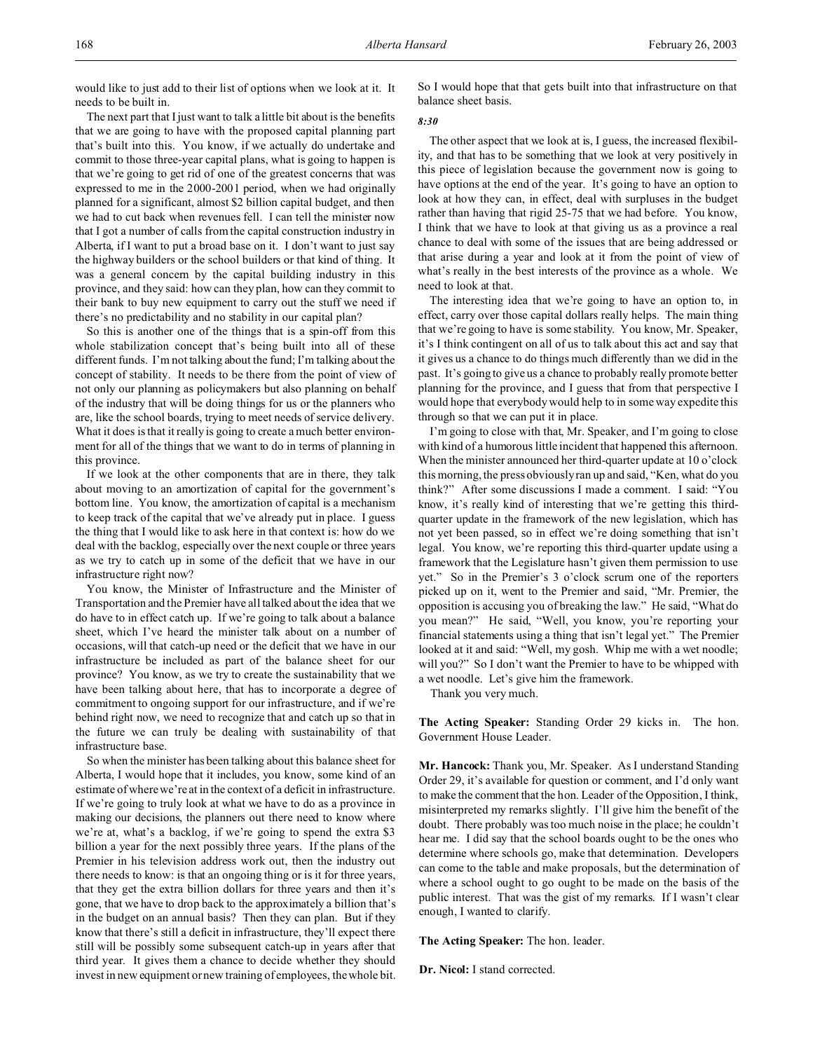would like to just add to their list of options when we look at it. It needs to be built in.

The next part that I just want to talk a little bit about is the benefits that we are going to have with the proposed capital planning part that's built into this. You know, if we actually do undertake and commit to those three-year capital plans, what is going to happen is that we're going to get rid of one of the greatest concerns that was expressed to me in the 2000-2001 period, when we had originally planned for a significant, almost \$2 billion capital budget, and then we had to cut back when revenues fell. I can tell the minister now that I got a number of calls from the capital construction industry in Alberta, if I want to put a broad base on it. I don't want to just say the highway builders or the school builders or that kind of thing. It was a general concern by the capital building industry in this province, and they said: how can they plan, how can they commit to their bank to buy new equipment to carry out the stuff we need if there's no predictability and no stability in our capital plan?

So this is another one of the things that is a spin-off from this whole stabilization concept that's being built into all of these different funds. I'm not talking about the fund; I'm talking about the concept of stability. It needs to be there from the point of view of not only our planning as policymakers but also planning on behalf of the industry that will be doing things for us or the planners who are, like the school boards, trying to meet needs of service delivery. What it does is that it really is going to create a much better environment for all of the things that we want to do in terms of planning in this province.

If we look at the other components that are in there, they talk about moving to an amortization of capital for the government's bottom line. You know, the amortization of capital is a mechanism to keep track of the capital that we've already put in place. I guess the thing that I would like to ask here in that context is: how do we deal with the backlog, especially over the next couple or three years as we try to catch up in some of the deficit that we have in our infrastructure right now?

You know, the Minister of Infrastructure and the Minister of Transportation and the Premier have all talked about the idea that we do have to in effect catch up. If we're going to talk about a balance sheet, which I've heard the minister talk about on a number of occasions, will that catch-up need or the deficit that we have in our infrastructure be included as part of the balance sheet for our province? You know, as we try to create the sustainability that we have been talking about here, that has to incorporate a degree of commitment to ongoing support for our infrastructure, and if we're behind right now, we need to recognize that and catch up so that in the future we can truly be dealing with sustainability of that infrastructure base.

So when the minister has been talking about this balance sheet for Alberta, I would hope that it includes, you know, some kind of an estimate of where we're at in the context of a deficit in infrastructure. If we're going to truly look at what we have to do as a province in making our decisions, the planners out there need to know where we're at, what's a backlog, if we're going to spend the extra \$3 billion a year for the next possibly three years. If the plans of the Premier in his television address work out, then the industry out there needs to know: is that an ongoing thing or is it for three years, that they get the extra billion dollars for three years and then it's gone, that we have to drop back to the approximately a billion that's in the budget on an annual basis? Then they can plan. But if they know that there's still a deficit in infrastructure, they'll expect there still will be possibly some subsequent catch-up in years after that third year. It gives them a chance to decide whether they should invest in new equipment or new training of employees, the whole bit.

So I would hope that that gets built into that infrastructure on that balance sheet basis.

# *8:30*

The other aspect that we look at is, I guess, the increased flexibility, and that has to be something that we look at very positively in this piece of legislation because the government now is going to have options at the end of the year. It's going to have an option to look at how they can, in effect, deal with surpluses in the budget rather than having that rigid 25-75 that we had before. You know, I think that we have to look at that giving us as a province a real chance to deal with some of the issues that are being addressed or that arise during a year and look at it from the point of view of what's really in the best interests of the province as a whole. We need to look at that.

The interesting idea that we're going to have an option to, in effect, carry over those capital dollars really helps. The main thing that we're going to have is some stability. You know, Mr. Speaker, it's I think contingent on all of us to talk about this act and say that it gives us a chance to do things much differently than we did in the past. It's going to give us a chance to probably really promote better planning for the province, and I guess that from that perspective I would hope that everybody would help to in some way expedite this through so that we can put it in place.

I'm going to close with that, Mr. Speaker, and I'm going to close with kind of a humorous little incident that happened this afternoon. When the minister announced her third-quarter update at 10 o'clock this morning, the press obviously ran up and said, "Ken, what do you think?" After some discussions I made a comment. I said: "You know, it's really kind of interesting that we're getting this thirdquarter update in the framework of the new legislation, which has not yet been passed, so in effect we're doing something that isn't legal. You know, we're reporting this third-quarter update using a framework that the Legislature hasn't given them permission to use yet." So in the Premier's 3 o'clock scrum one of the reporters picked up on it, went to the Premier and said, "Mr. Premier, the opposition is accusing you of breaking the law." He said, "What do you mean?" He said, "Well, you know, you're reporting your financial statements using a thing that isn't legal yet." The Premier looked at it and said: "Well, my gosh. Whip me with a wet noodle; will you?" So I don't want the Premier to have to be whipped with a wet noodle. Let's give him the framework.

Thank you very much.

**The Acting Speaker:** Standing Order 29 kicks in. The hon. Government House Leader.

**Mr. Hancock:** Thank you, Mr. Speaker. As I understand Standing Order 29, it's available for question or comment, and I'd only want to make the comment that the hon. Leader of the Opposition, I think, misinterpreted my remarks slightly. I'll give him the benefit of the doubt. There probably was too much noise in the place; he couldn't hear me. I did say that the school boards ought to be the ones who determine where schools go, make that determination. Developers can come to the table and make proposals, but the determination of where a school ought to go ought to be made on the basis of the public interest. That was the gist of my remarks. If I wasn't clear enough, I wanted to clarify.

**The Acting Speaker:** The hon. leader.

**Dr. Nicol:** I stand corrected.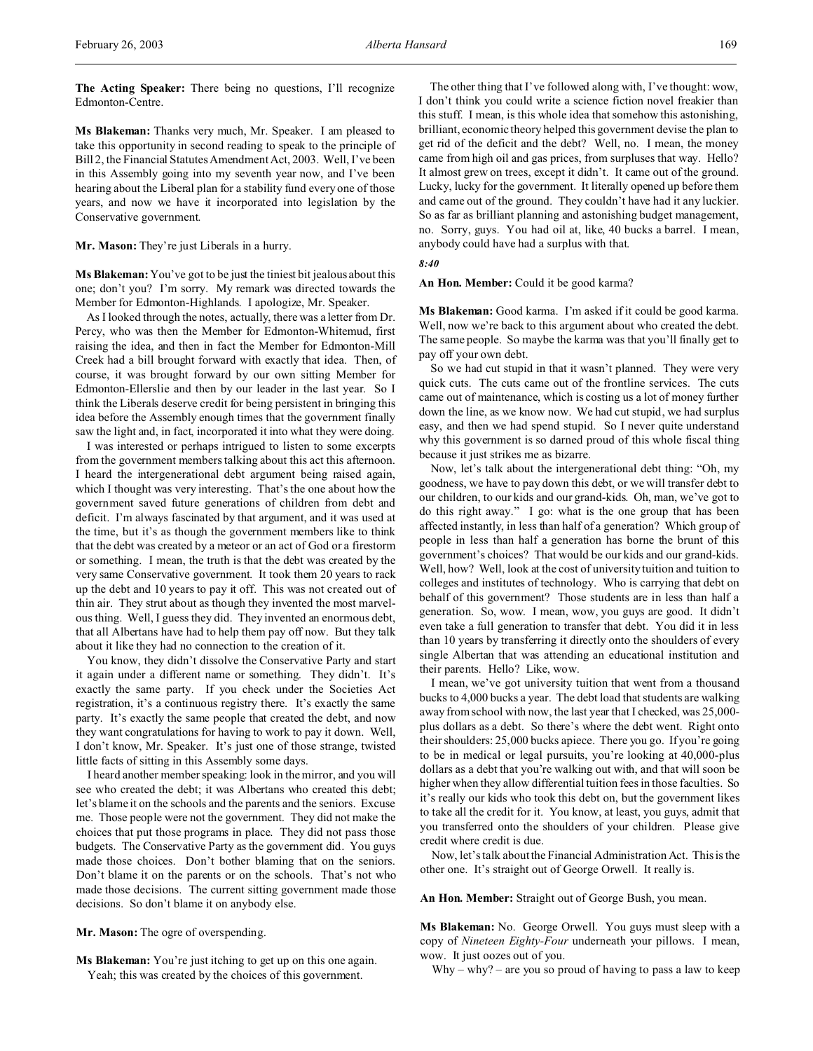**The Acting Speaker:** There being no questions, I'll recognize Edmonton-Centre.

**Ms Blakeman:** Thanks very much, Mr. Speaker. I am pleased to take this opportunity in second reading to speak to the principle of Bill 2, the Financial Statutes Amendment Act, 2003. Well, I've been in this Assembly going into my seventh year now, and I've been hearing about the Liberal plan for a stability fund every one of those years, and now we have it incorporated into legislation by the Conservative government.

**Mr. Mason:** They're just Liberals in a hurry.

**Ms Blakeman:**You've got to be just the tiniest bit jealous about this one; don't you? I'm sorry. My remark was directed towards the Member for Edmonton-Highlands. I apologize, Mr. Speaker.

As I looked through the notes, actually, there was a letter from Dr. Percy, who was then the Member for Edmonton-Whitemud, first raising the idea, and then in fact the Member for Edmonton-Mill Creek had a bill brought forward with exactly that idea. Then, of course, it was brought forward by our own sitting Member for Edmonton-Ellerslie and then by our leader in the last year. So I think the Liberals deserve credit for being persistent in bringing this idea before the Assembly enough times that the government finally saw the light and, in fact, incorporated it into what they were doing.

I was interested or perhaps intrigued to listen to some excerpts from the government members talking about this act this afternoon. I heard the intergenerational debt argument being raised again, which I thought was very interesting. That's the one about how the government saved future generations of children from debt and deficit. I'm always fascinated by that argument, and it was used at the time, but it's as though the government members like to think that the debt was created by a meteor or an act of God or a firestorm or something. I mean, the truth is that the debt was created by the very same Conservative government. It took them 20 years to rack up the debt and 10 years to pay it off. This was not created out of thin air. They strut about as though they invented the most marvelous thing. Well, I guess they did. They invented an enormous debt, that all Albertans have had to help them pay off now. But they talk about it like they had no connection to the creation of it.

You know, they didn't dissolve the Conservative Party and start it again under a different name or something. They didn't. It's exactly the same party. If you check under the Societies Act registration, it's a continuous registry there. It's exactly the same party. It's exactly the same people that created the debt, and now they want congratulations for having to work to pay it down. Well, I don't know, Mr. Speaker. It's just one of those strange, twisted little facts of sitting in this Assembly some days.

I heard another member speaking: look in the mirror, and you will see who created the debt; it was Albertans who created this debt; let's blame it on the schools and the parents and the seniors. Excuse me. Those people were not the government. They did not make the choices that put those programs in place. They did not pass those budgets. The Conservative Party as the government did. You guys made those choices. Don't bother blaming that on the seniors. Don't blame it on the parents or on the schools. That's not who made those decisions. The current sitting government made those decisions. So don't blame it on anybody else.

**Mr. Mason:** The ogre of overspending.

**Ms Blakeman:** You're just itching to get up on this one again. Yeah; this was created by the choices of this government.

The other thing that I've followed along with, I've thought: wow, I don't think you could write a science fiction novel freakier than this stuff. I mean, is this whole idea that somehow this astonishing, brilliant, economic theory helped this government devise the plan to get rid of the deficit and the debt? Well, no. I mean, the money came from high oil and gas prices, from surpluses that way. Hello? It almost grew on trees, except it didn't. It came out of the ground. Lucky, lucky for the government. It literally opened up before them and came out of the ground. They couldn't have had it any luckier. So as far as brilliant planning and astonishing budget management, no. Sorry, guys. You had oil at, like, 40 bucks a barrel. I mean, anybody could have had a surplus with that.

*8:40*

# **An Hon. Member:** Could it be good karma?

**Ms Blakeman:** Good karma. I'm asked if it could be good karma. Well, now we're back to this argument about who created the debt. The same people. So maybe the karma was that you'll finally get to pay off your own debt.

So we had cut stupid in that it wasn't planned. They were very quick cuts. The cuts came out of the frontline services. The cuts came out of maintenance, which is costing us a lot of money further down the line, as we know now. We had cut stupid, we had surplus easy, and then we had spend stupid. So I never quite understand why this government is so darned proud of this whole fiscal thing because it just strikes me as bizarre.

Now, let's talk about the intergenerational debt thing: "Oh, my goodness, we have to pay down this debt, or we will transfer debt to our children, to our kids and our grand-kids. Oh, man, we've got to do this right away." I go: what is the one group that has been affected instantly, in less than half of a generation? Which group of people in less than half a generation has borne the brunt of this government's choices? That would be our kids and our grand-kids. Well, how? Well, look at the cost of university tuition and tuition to colleges and institutes of technology. Who is carrying that debt on behalf of this government? Those students are in less than half a generation. So, wow. I mean, wow, you guys are good. It didn't even take a full generation to transfer that debt. You did it in less than 10 years by transferring it directly onto the shoulders of every single Albertan that was attending an educational institution and their parents. Hello? Like, wow.

I mean, we've got university tuition that went from a thousand bucks to 4,000 bucks a year. The debt load that students are walking away from school with now, the last year that I checked, was 25,000 plus dollars as a debt. So there's where the debt went. Right onto their shoulders: 25,000 bucks apiece. There you go. If you're going to be in medical or legal pursuits, you're looking at 40,000-plus dollars as a debt that you're walking out with, and that will soon be higher when they allow differential tuition fees in those faculties. So it's really our kids who took this debt on, but the government likes to take all the credit for it. You know, at least, you guys, admit that you transferred onto the shoulders of your children. Please give credit where credit is due.

Now, let's talk about the Financial Administration Act. This is the other one. It's straight out of George Orwell. It really is.

**An Hon. Member:** Straight out of George Bush, you mean.

**Ms Blakeman:** No. George Orwell. You guys must sleep with a copy of *Nineteen Eighty-Four* underneath your pillows. I mean, wow. It just oozes out of you.

 $Why - why? - are you so proud of having to pass a law to keep$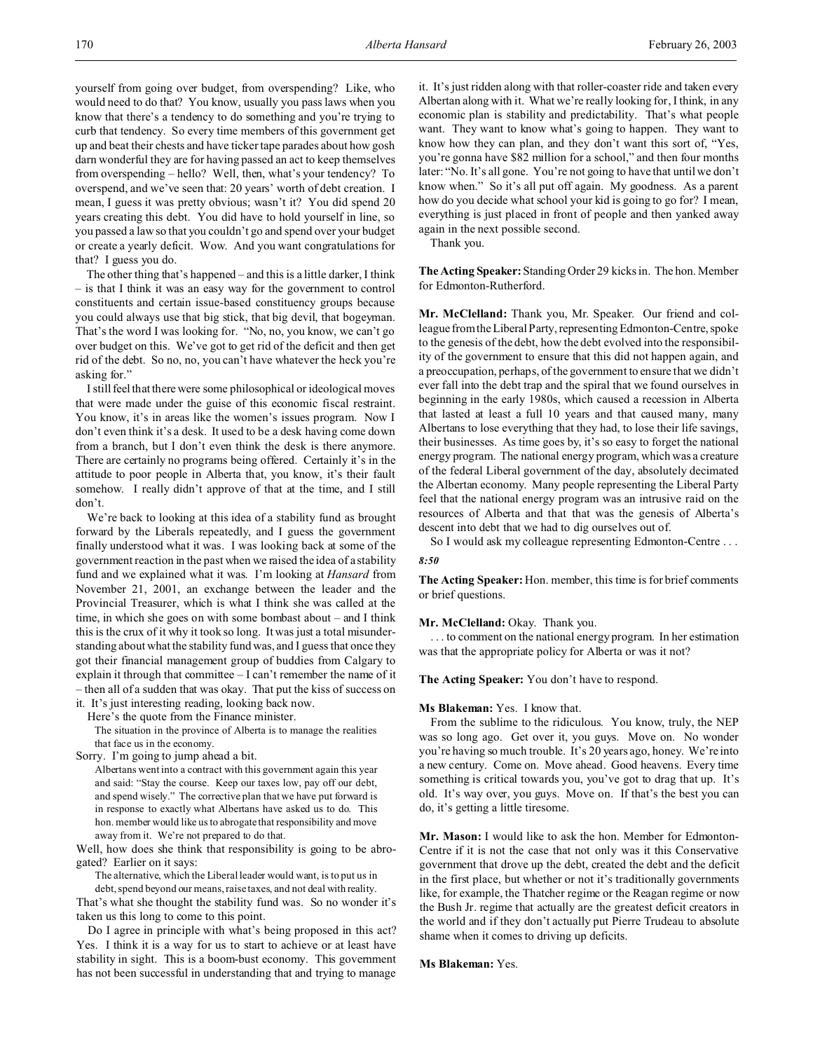yourself from going over budget, from overspending? Like, who would need to do that? You know, usually you pass laws when you know that there's a tendency to do something and you're trying to curb that tendency. So every time members of this government get up and beat their chests and have ticker tape parades about how gosh darn wonderful they are for having passed an act to keep themselves from overspending – hello? Well, then, what's your tendency? To overspend, and we've seen that: 20 years' worth of debt creation. I mean, I guess it was pretty obvious; wasn't it? You did spend 20 years creating this debt. You did have to hold yourself in line, so you passed a law so that you couldn't go and spend over your budget or create a yearly deficit. Wow. And you want congratulations for that? I guess you do.

The other thing that's happened – and this is a little darker, I think – is that I think it was an easy way for the government to control constituents and certain issue-based constituency groups because you could always use that big stick, that big devil, that bogeyman. That's the word I was looking for. "No, no, you know, we can't go over budget on this. We've got to get rid of the deficit and then get rid of the debt. So no, no, you can't have whatever the heck you're asking for."

I still feel that there were some philosophical or ideological moves that were made under the guise of this economic fiscal restraint. You know, it's in areas like the women's issues program. Now I don't even think it's a desk. It used to be a desk having come down from a branch, but I don't even think the desk is there anymore. There are certainly no programs being offered. Certainly it's in the attitude to poor people in Alberta that, you know, it's their fault somehow. I really didn't approve of that at the time, and I still don't.

We're back to looking at this idea of a stability fund as brought forward by the Liberals repeatedly, and I guess the government finally understood what it was. I was looking back at some of the government reaction in the past when we raised the idea of a stability fund and we explained what it was. I'm looking at *Hansard* from November 21, 2001, an exchange between the leader and the Provincial Treasurer, which is what I think she was called at the time, in which she goes on with some bombast about – and I think this is the crux of it why it took so long. It was just a total misunderstanding about what the stability fund was, and I guess that once they got their financial management group of buddies from Calgary to explain it through that committee – I can't remember the name of it – then all of a sudden that was okay. That put the kiss of success on it. It's just interesting reading, looking back now.

Here's the quote from the Finance minister.

The situation in the province of Alberta is to manage the realities that face us in the economy.

Sorry. I'm going to jump ahead a bit.

Albertans went into a contract with this government again this year and said: "Stay the course. Keep our taxes low, pay off our debt, and spend wisely." The corrective plan that we have put forward is in response to exactly what Albertans have asked us to do. This hon. member would like us to abrogate that responsibility and move away from it. We're not prepared to do that.

Well, how does she think that responsibility is going to be abrogated? Earlier on it says:

The alternative, which the Liberal leader would want, is to put us in

debt, spend beyond our means, raise taxes, and not deal with reality. That's what she thought the stability fund was. So no wonder it's taken us this long to come to this point.

Do I agree in principle with what's being proposed in this act? Yes. I think it is a way for us to start to achieve or at least have stability in sight. This is a boom-bust economy. This government has not been successful in understanding that and trying to manage

it. It's just ridden along with that roller-coaster ride and taken every Albertan along with it. What we're really looking for, I think, in any economic plan is stability and predictability. That's what people want. They want to know what's going to happen. They want to know how they can plan, and they don't want this sort of, "Yes, you're gonna have \$82 million for a school," and then four months later: "No. It's all gone. You're not going to have that until we don't know when." So it's all put off again. My goodness. As a parent how do you decide what school your kid is going to go for? I mean, everything is just placed in front of people and then yanked away again in the next possible second.

Thank you.

**The Acting Speaker:** Standing Order 29 kicks in. The hon. Member for Edmonton-Rutherford.

**Mr. McClelland:** Thank you, Mr. Speaker. Our friend and colleague from the Liberal Party, representing Edmonton-Centre, spoke to the genesis of the debt, how the debt evolved into the responsibility of the government to ensure that this did not happen again, and a preoccupation, perhaps, of the government to ensure that we didn't ever fall into the debt trap and the spiral that we found ourselves in beginning in the early 1980s, which caused a recession in Alberta that lasted at least a full 10 years and that caused many, many Albertans to lose everything that they had, to lose their life savings, their businesses. As time goes by, it's so easy to forget the national energy program. The national energy program, which was a creature of the federal Liberal government of the day, absolutely decimated the Albertan economy. Many people representing the Liberal Party feel that the national energy program was an intrusive raid on the resources of Alberta and that that was the genesis of Alberta's descent into debt that we had to dig ourselves out of.

So I would ask my colleague representing Edmonton-Centre . . .

# *8:50*

**The Acting Speaker:** Hon. member, this time is for brief comments or brief questions.

## **Mr. McClelland:** Okay. Thank you.

. . . to comment on the national energy program. In her estimation was that the appropriate policy for Alberta or was it not?

**The Acting Speaker:** You don't have to respond.

# **Ms Blakeman:** Yes. I know that.

From the sublime to the ridiculous. You know, truly, the NEP was so long ago. Get over it, you guys. Move on. No wonder you're having so much trouble. It's 20 years ago, honey. We're into a new century. Come on. Move ahead. Good heavens. Every time something is critical towards you, you've got to drag that up. It's old. It's way over, you guys. Move on. If that's the best you can do, it's getting a little tiresome.

**Mr. Mason:** I would like to ask the hon. Member for Edmonton-Centre if it is not the case that not only was it this Conservative government that drove up the debt, created the debt and the deficit in the first place, but whether or not it's traditionally governments like, for example, the Thatcher regime or the Reagan regime or now the Bush Jr. regime that actually are the greatest deficit creators in the world and if they don't actually put Pierre Trudeau to absolute shame when it comes to driving up deficits.

# **Ms Blakeman:** Yes.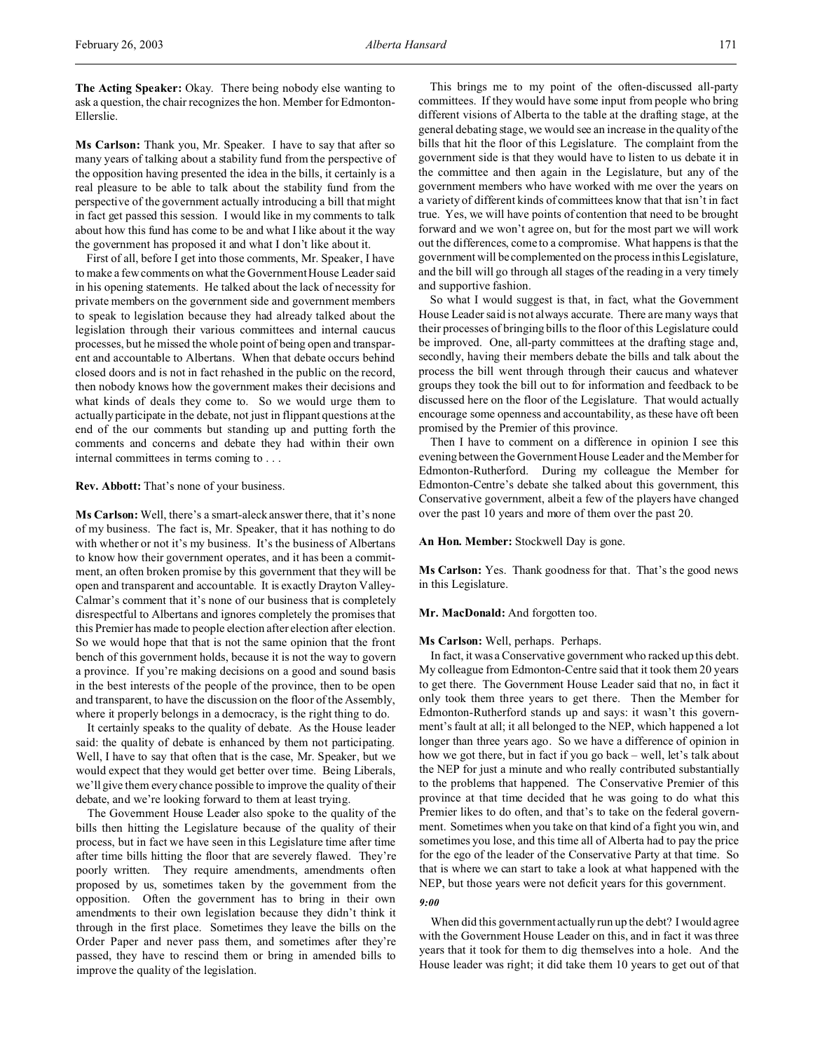**The Acting Speaker:** Okay. There being nobody else wanting to ask a question, the chair recognizes the hon. Member for Edmonton-Ellerslie.

**Ms Carlson:** Thank you, Mr. Speaker. I have to say that after so many years of talking about a stability fund from the perspective of the opposition having presented the idea in the bills, it certainly is a real pleasure to be able to talk about the stability fund from the perspective of the government actually introducing a bill that might in fact get passed this session. I would like in my comments to talk about how this fund has come to be and what I like about it the way the government has proposed it and what I don't like about it.

First of all, before I get into those comments, Mr. Speaker, I have to make a few comments on what the Government House Leader said in his opening statements. He talked about the lack of necessity for private members on the government side and government members to speak to legislation because they had already talked about the legislation through their various committees and internal caucus processes, but he missed the whole point of being open and transparent and accountable to Albertans. When that debate occurs behind closed doors and is not in fact rehashed in the public on the record, then nobody knows how the government makes their decisions and what kinds of deals they come to. So we would urge them to actually participate in the debate, not just in flippant questions at the end of the our comments but standing up and putting forth the comments and concerns and debate they had within their own internal committees in terms coming to . . .

**Rev. Abbott:** That's none of your business.

**Ms Carlson:** Well, there's a smart-aleck answer there, that it's none of my business. The fact is, Mr. Speaker, that it has nothing to do with whether or not it's my business. It's the business of Albertans to know how their government operates, and it has been a commitment, an often broken promise by this government that they will be open and transparent and accountable. It is exactly Drayton Valley-Calmar's comment that it's none of our business that is completely disrespectful to Albertans and ignores completely the promises that this Premier has made to people election after election after election. So we would hope that that is not the same opinion that the front bench of this government holds, because it is not the way to govern a province. If you're making decisions on a good and sound basis in the best interests of the people of the province, then to be open and transparent, to have the discussion on the floor of the Assembly, where it properly belongs in a democracy, is the right thing to do.

It certainly speaks to the quality of debate. As the House leader said: the quality of debate is enhanced by them not participating. Well, I have to say that often that is the case, Mr. Speaker, but we would expect that they would get better over time. Being Liberals, we'll give them every chance possible to improve the quality of their debate, and we're looking forward to them at least trying.

The Government House Leader also spoke to the quality of the bills then hitting the Legislature because of the quality of their process, but in fact we have seen in this Legislature time after time after time bills hitting the floor that are severely flawed. They're poorly written. They require amendments, amendments often proposed by us, sometimes taken by the government from the opposition. Often the government has to bring in their own amendments to their own legislation because they didn't think it through in the first place. Sometimes they leave the bills on the Order Paper and never pass them, and sometimes after they're passed, they have to rescind them or bring in amended bills to improve the quality of the legislation.

This brings me to my point of the often-discussed all-party committees. If they would have some input from people who bring different visions of Alberta to the table at the drafting stage, at the general debating stage, we would see an increase in the quality of the bills that hit the floor of this Legislature. The complaint from the government side is that they would have to listen to us debate it in the committee and then again in the Legislature, but any of the government members who have worked with me over the years on a variety of different kinds of committees know that that isn't in fact true. Yes, we will have points of contention that need to be brought forward and we won't agree on, but for the most part we will work out the differences, come to a compromise. What happens is that the government will be complemented on the process in this Legislature, and the bill will go through all stages of the reading in a very timely and supportive fashion.

So what I would suggest is that, in fact, what the Government House Leader said is not always accurate. There are many ways that their processes of bringing bills to the floor of this Legislature could be improved. One, all-party committees at the drafting stage and, secondly, having their members debate the bills and talk about the process the bill went through through their caucus and whatever groups they took the bill out to for information and feedback to be discussed here on the floor of the Legislature. That would actually encourage some openness and accountability, as these have oft been promised by the Premier of this province.

Then I have to comment on a difference in opinion I see this evening between the Government House Leader and the Member for Edmonton-Rutherford. During my colleague the Member for Edmonton-Centre's debate she talked about this government, this Conservative government, albeit a few of the players have changed over the past 10 years and more of them over the past 20.

**An Hon. Member:** Stockwell Day is gone.

**Ms Carlson:** Yes. Thank goodness for that. That's the good news in this Legislature.

### **Mr. MacDonald:** And forgotten too.

# **Ms Carlson:** Well, perhaps. Perhaps.

In fact, it was a Conservative government who racked up this debt. My colleague from Edmonton-Centre said that it took them 20 years to get there. The Government House Leader said that no, in fact it only took them three years to get there. Then the Member for Edmonton-Rutherford stands up and says: it wasn't this government's fault at all; it all belonged to the NEP, which happened a lot longer than three years ago. So we have a difference of opinion in how we got there, but in fact if you go back – well, let's talk about the NEP for just a minute and who really contributed substantially to the problems that happened. The Conservative Premier of this province at that time decided that he was going to do what this Premier likes to do often, and that's to take on the federal government. Sometimes when you take on that kind of a fight you win, and sometimes you lose, and this time all of Alberta had to pay the price for the ego of the leader of the Conservative Party at that time. So that is where we can start to take a look at what happened with the NEP, but those years were not deficit years for this government.

### *9:00*

When did this government actually run up the debt? I would agree with the Government House Leader on this, and in fact it was three years that it took for them to dig themselves into a hole. And the House leader was right; it did take them 10 years to get out of that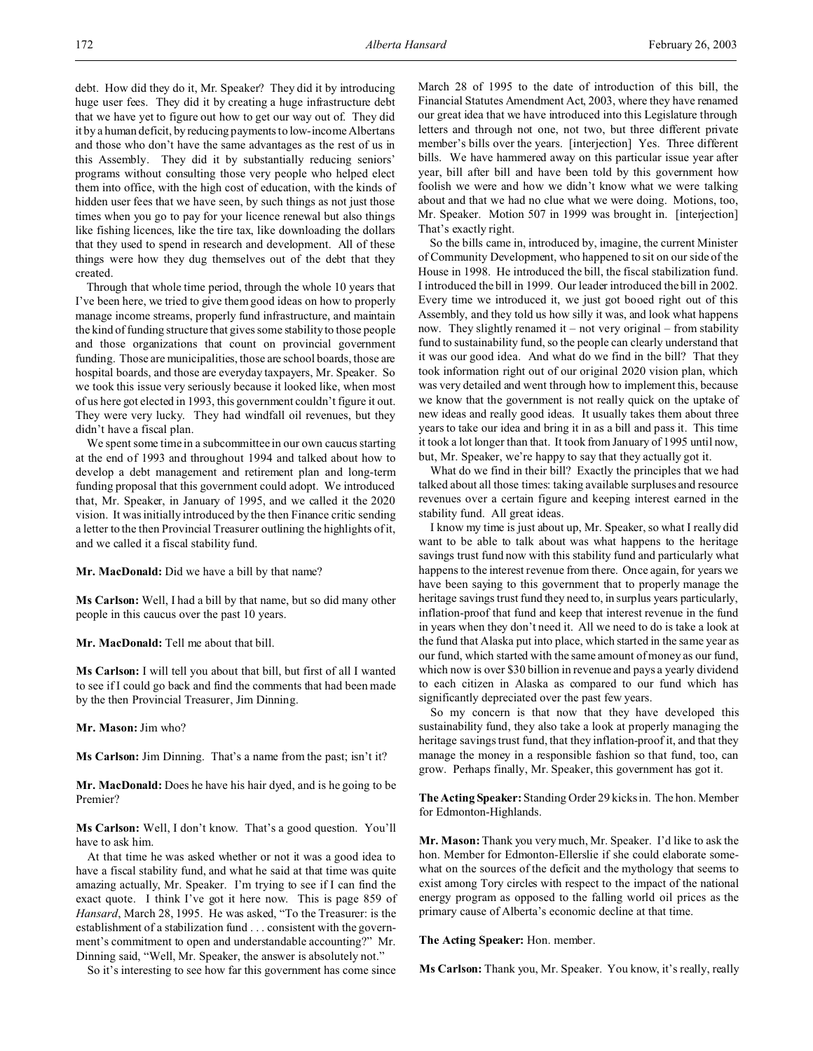debt. How did they do it, Mr. Speaker? They did it by introducing huge user fees. They did it by creating a huge infrastructure debt that we have yet to figure out how to get our way out of. They did it by a human deficit, by reducing payments to low-income Albertans and those who don't have the same advantages as the rest of us in this Assembly. They did it by substantially reducing seniors' programs without consulting those very people who helped elect them into office, with the high cost of education, with the kinds of hidden user fees that we have seen, by such things as not just those times when you go to pay for your licence renewal but also things like fishing licences, like the tire tax, like downloading the dollars that they used to spend in research and development. All of these things were how they dug themselves out of the debt that they created.

Through that whole time period, through the whole 10 years that I've been here, we tried to give them good ideas on how to properly manage income streams, properly fund infrastructure, and maintain the kind of funding structure that gives some stability to those people and those organizations that count on provincial government funding. Those are municipalities, those are school boards, those are hospital boards, and those are everyday taxpayers, Mr. Speaker. So we took this issue very seriously because it looked like, when most of us here got elected in 1993, this government couldn't figure it out. They were very lucky. They had windfall oil revenues, but they didn't have a fiscal plan.

We spent some time in a subcommittee in our own caucus starting at the end of 1993 and throughout 1994 and talked about how to develop a debt management and retirement plan and long-term funding proposal that this government could adopt. We introduced that, Mr. Speaker, in January of 1995, and we called it the 2020 vision. It was initially introduced by the then Finance critic sending a letter to the then Provincial Treasurer outlining the highlights of it, and we called it a fiscal stability fund.

**Mr. MacDonald:** Did we have a bill by that name?

**Ms Carlson:** Well, I had a bill by that name, but so did many other people in this caucus over the past 10 years.

# **Mr. MacDonald:** Tell me about that bill.

**Ms Carlson:** I will tell you about that bill, but first of all I wanted to see if I could go back and find the comments that had been made by the then Provincial Treasurer, Jim Dinning.

**Mr. Mason:** Jim who?

**Ms Carlson:** Jim Dinning. That's a name from the past; isn't it?

**Mr. MacDonald:** Does he have his hair dyed, and is he going to be Premier?

**Ms Carlson:** Well, I don't know. That's a good question. You'll have to ask him.

At that time he was asked whether or not it was a good idea to have a fiscal stability fund, and what he said at that time was quite amazing actually, Mr. Speaker. I'm trying to see if I can find the exact quote. I think I've got it here now. This is page 859 of *Hansard*, March 28, 1995. He was asked, "To the Treasurer: is the establishment of a stabilization fund . . . consistent with the government's commitment to open and understandable accounting?" Mr. Dinning said, "Well, Mr. Speaker, the answer is absolutely not."

So it's interesting to see how far this government has come since

March 28 of 1995 to the date of introduction of this bill, the Financial Statutes Amendment Act, 2003, where they have renamed our great idea that we have introduced into this Legislature through letters and through not one, not two, but three different private member's bills over the years. [interjection] Yes. Three different bills. We have hammered away on this particular issue year after year, bill after bill and have been told by this government how foolish we were and how we didn't know what we were talking about and that we had no clue what we were doing. Motions, too, Mr. Speaker. Motion 507 in 1999 was brought in. [interjection] That's exactly right.

So the bills came in, introduced by, imagine, the current Minister of Community Development, who happened to sit on our side of the House in 1998. He introduced the bill, the fiscal stabilization fund. I introduced the bill in 1999. Our leader introduced the bill in 2002. Every time we introduced it, we just got booed right out of this Assembly, and they told us how silly it was, and look what happens now. They slightly renamed it – not very original – from stability fund to sustainability fund, so the people can clearly understand that it was our good idea. And what do we find in the bill? That they took information right out of our original 2020 vision plan, which was very detailed and went through how to implement this, because we know that the government is not really quick on the uptake of new ideas and really good ideas. It usually takes them about three years to take our idea and bring it in as a bill and pass it. This time it took a lot longer than that. It took from January of 1995 until now, but, Mr. Speaker, we're happy to say that they actually got it.

What do we find in their bill? Exactly the principles that we had talked about all those times: taking available surpluses and resource revenues over a certain figure and keeping interest earned in the stability fund. All great ideas.

I know my time is just about up, Mr. Speaker, so what I really did want to be able to talk about was what happens to the heritage savings trust fund now with this stability fund and particularly what happens to the interest revenue from there. Once again, for years we have been saying to this government that to properly manage the heritage savings trust fund they need to, in surplus years particularly, inflation-proof that fund and keep that interest revenue in the fund in years when they don't need it. All we need to do is take a look at the fund that Alaska put into place, which started in the same year as our fund, which started with the same amount of money as our fund, which now is over \$30 billion in revenue and pays a yearly dividend to each citizen in Alaska as compared to our fund which has significantly depreciated over the past few years.

So my concern is that now that they have developed this sustainability fund, they also take a look at properly managing the heritage savings trust fund, that they inflation-proof it, and that they manage the money in a responsible fashion so that fund, too, can grow. Perhaps finally, Mr. Speaker, this government has got it.

**The Acting Speaker:** Standing Order 29 kicks in. The hon. Member for Edmonton-Highlands.

**Mr. Mason:** Thank you very much, Mr. Speaker. I'd like to ask the hon. Member for Edmonton-Ellerslie if she could elaborate somewhat on the sources of the deficit and the mythology that seems to exist among Tory circles with respect to the impact of the national energy program as opposed to the falling world oil prices as the primary cause of Alberta's economic decline at that time.

**The Acting Speaker:** Hon. member.

**Ms Carlson:** Thank you, Mr. Speaker. You know, it's really, really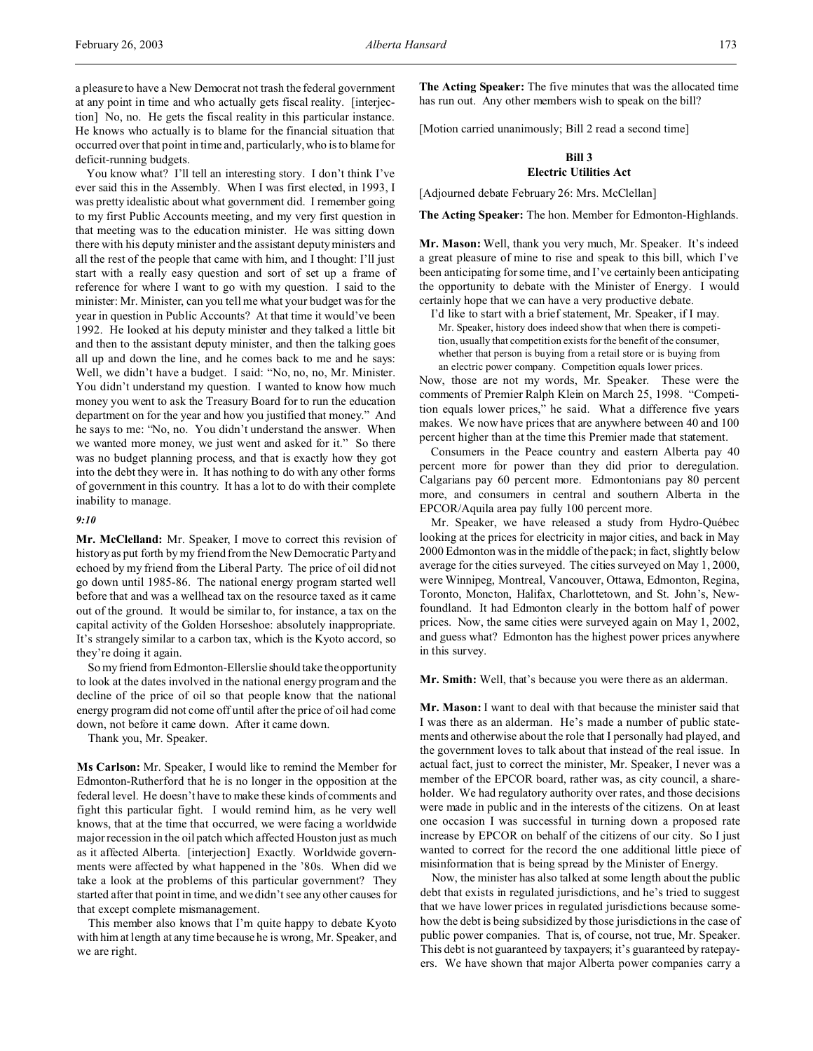a pleasure to have a New Democrat not trash the federal government at any point in time and who actually gets fiscal reality. [interjection] No, no. He gets the fiscal reality in this particular instance. He knows who actually is to blame for the financial situation that occurred over that point in time and, particularly, who is to blame for deficit-running budgets.

You know what? I'll tell an interesting story. I don't think I've ever said this in the Assembly. When I was first elected, in 1993, I was pretty idealistic about what government did. I remember going to my first Public Accounts meeting, and my very first question in that meeting was to the education minister. He was sitting down there with his deputy minister and the assistant deputy ministers and all the rest of the people that came with him, and I thought: I'll just start with a really easy question and sort of set up a frame of reference for where I want to go with my question. I said to the minister: Mr. Minister, can you tell me what your budget was for the year in question in Public Accounts? At that time it would've been 1992. He looked at his deputy minister and they talked a little bit and then to the assistant deputy minister, and then the talking goes all up and down the line, and he comes back to me and he says: Well, we didn't have a budget. I said: "No, no, no, Mr. Minister. You didn't understand my question. I wanted to know how much money you went to ask the Treasury Board for to run the education department on for the year and how you justified that money." And he says to me: "No, no. You didn't understand the answer. When we wanted more money, we just went and asked for it." So there was no budget planning process, and that is exactly how they got into the debt they were in. It has nothing to do with any other forms of government in this country. It has a lot to do with their complete inability to manage.

# *9:10*

**Mr. McClelland:** Mr. Speaker, I move to correct this revision of history as put forth by my friend from the New Democratic Party and echoed by my friend from the Liberal Party. The price of oil did not go down until 1985-86. The national energy program started well before that and was a wellhead tax on the resource taxed as it came out of the ground. It would be similar to, for instance, a tax on the capital activity of the Golden Horseshoe: absolutely inappropriate. It's strangely similar to a carbon tax, which is the Kyoto accord, so they're doing it again.

So my friend from Edmonton-Ellerslie should take the opportunity to look at the dates involved in the national energy program and the decline of the price of oil so that people know that the national energy program did not come off until after the price of oil had come down, not before it came down. After it came down.

Thank you, Mr. Speaker.

**Ms Carlson:** Mr. Speaker, I would like to remind the Member for Edmonton-Rutherford that he is no longer in the opposition at the federal level. He doesn't have to make these kinds of comments and fight this particular fight. I would remind him, as he very well knows, that at the time that occurred, we were facing a worldwide major recession in the oil patch which affected Houston just as much as it affected Alberta. [interjection] Exactly. Worldwide governments were affected by what happened in the '80s. When did we take a look at the problems of this particular government? They started after that point in time, and we didn't see any other causes for that except complete mismanagement.

This member also knows that I'm quite happy to debate Kyoto with him at length at any time because he is wrong, Mr. Speaker, and we are right.

**The Acting Speaker:** The five minutes that was the allocated time has run out. Any other members wish to speak on the bill?

[Motion carried unanimously; Bill 2 read a second time]

# **Bill 3 Electric Utilities Act**

[Adjourned debate February 26: Mrs. McClellan]

**The Acting Speaker:** The hon. Member for Edmonton-Highlands.

**Mr. Mason:** Well, thank you very much, Mr. Speaker. It's indeed a great pleasure of mine to rise and speak to this bill, which I've been anticipating for some time, and I've certainly been anticipating the opportunity to debate with the Minister of Energy. I would certainly hope that we can have a very productive debate.

I'd like to start with a brief statement, Mr. Speaker, if I may. Mr. Speaker, history does indeed show that when there is competition, usually that competition exists for the benefit of the consumer, whether that person is buying from a retail store or is buying from an electric power company. Competition equals lower prices.

Now, those are not my words, Mr. Speaker. These were the comments of Premier Ralph Klein on March 25, 1998. "Competition equals lower prices," he said. What a difference five years makes. We now have prices that are anywhere between 40 and 100 percent higher than at the time this Premier made that statement.

Consumers in the Peace country and eastern Alberta pay 40 percent more for power than they did prior to deregulation. Calgarians pay 60 percent more. Edmontonians pay 80 percent more, and consumers in central and southern Alberta in the EPCOR/Aquila area pay fully 100 percent more.

Mr. Speaker, we have released a study from Hydro-Québec looking at the prices for electricity in major cities, and back in May 2000 Edmonton was in the middle of the pack; in fact, slightly below average for the cities surveyed. The cities surveyed on May 1, 2000, were Winnipeg, Montreal, Vancouver, Ottawa, Edmonton, Regina, Toronto, Moncton, Halifax, Charlottetown, and St. John's, Newfoundland. It had Edmonton clearly in the bottom half of power prices. Now, the same cities were surveyed again on May 1, 2002, and guess what? Edmonton has the highest power prices anywhere in this survey.

**Mr. Smith:** Well, that's because you were there as an alderman.

**Mr. Mason:** I want to deal with that because the minister said that I was there as an alderman. He's made a number of public statements and otherwise about the role that I personally had played, and the government loves to talk about that instead of the real issue. In actual fact, just to correct the minister, Mr. Speaker, I never was a member of the EPCOR board, rather was, as city council, a shareholder. We had regulatory authority over rates, and those decisions were made in public and in the interests of the citizens. On at least one occasion I was successful in turning down a proposed rate increase by EPCOR on behalf of the citizens of our city. So I just wanted to correct for the record the one additional little piece of misinformation that is being spread by the Minister of Energy.

Now, the minister has also talked at some length about the public debt that exists in regulated jurisdictions, and he's tried to suggest that we have lower prices in regulated jurisdictions because somehow the debt is being subsidized by those jurisdictions in the case of public power companies. That is, of course, not true, Mr. Speaker. This debt is not guaranteed by taxpayers; it's guaranteed by ratepayers. We have shown that major Alberta power companies carry a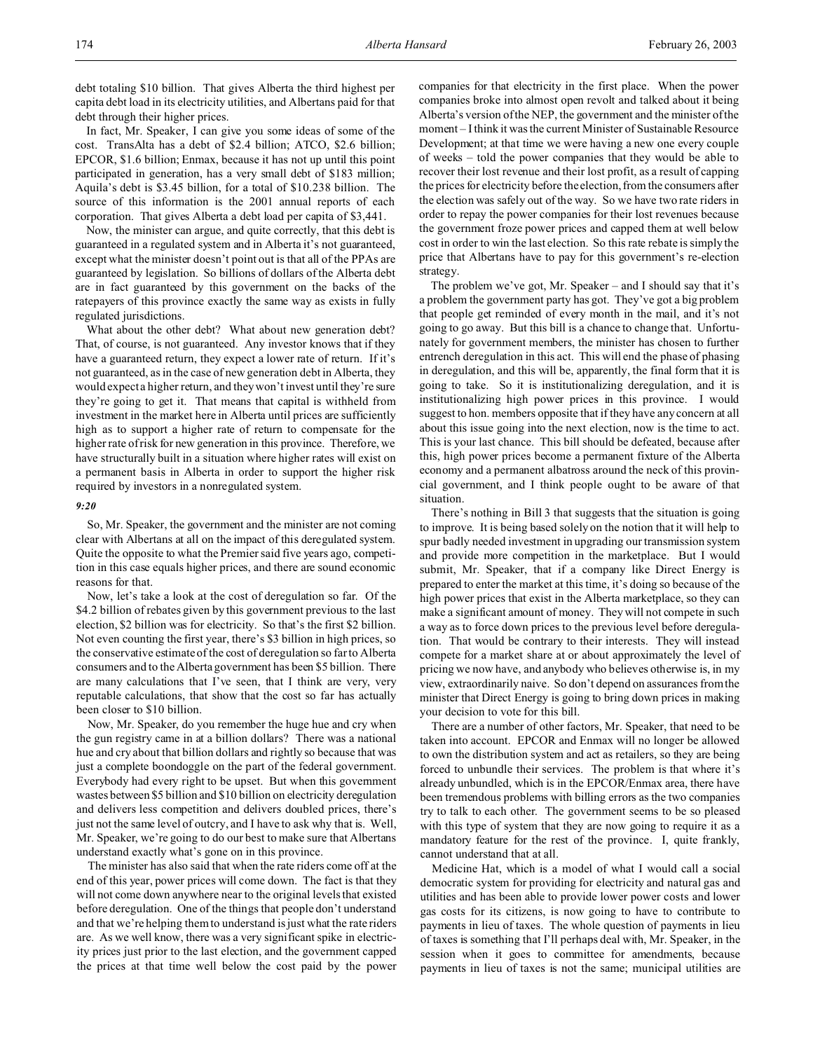debt totaling \$10 billion. That gives Alberta the third highest per capita debt load in its electricity utilities, and Albertans paid for that debt through their higher prices.

In fact, Mr. Speaker, I can give you some ideas of some of the cost. TransAlta has a debt of \$2.4 billion; ATCO, \$2.6 billion; EPCOR, \$1.6 billion; Enmax, because it has not up until this point participated in generation, has a very small debt of \$183 million; Aquila's debt is \$3.45 billion, for a total of \$10.238 billion. The source of this information is the 2001 annual reports of each corporation. That gives Alberta a debt load per capita of \$3,441.

Now, the minister can argue, and quite correctly, that this debt is guaranteed in a regulated system and in Alberta it's not guaranteed, except what the minister doesn't point out is that all of the PPAs are guaranteed by legislation. So billions of dollars of the Alberta debt are in fact guaranteed by this government on the backs of the ratepayers of this province exactly the same way as exists in fully regulated jurisdictions.

What about the other debt? What about new generation debt? That, of course, is not guaranteed. Any investor knows that if they have a guaranteed return, they expect a lower rate of return. If it's not guaranteed, as in the case of new generation debt in Alberta, they would expect a higher return, and they won't invest until they're sure they're going to get it. That means that capital is withheld from investment in the market here in Alberta until prices are sufficiently high as to support a higher rate of return to compensate for the higher rate of risk for new generation in this province. Therefore, we have structurally built in a situation where higher rates will exist on a permanent basis in Alberta in order to support the higher risk required by investors in a nonregulated system.

### *9:20*

So, Mr. Speaker, the government and the minister are not coming clear with Albertans at all on the impact of this deregulated system. Quite the opposite to what the Premier said five years ago, competition in this case equals higher prices, and there are sound economic reasons for that.

Now, let's take a look at the cost of deregulation so far. Of the \$4.2 billion of rebates given by this government previous to the last election, \$2 billion was for electricity. So that's the first \$2 billion. Not even counting the first year, there's \$3 billion in high prices, so the conservative estimate of the cost of deregulation so far to Alberta consumers and to the Alberta government has been \$5 billion. There are many calculations that I've seen, that I think are very, very reputable calculations, that show that the cost so far has actually been closer to \$10 billion.

Now, Mr. Speaker, do you remember the huge hue and cry when the gun registry came in at a billion dollars? There was a national hue and cry about that billion dollars and rightly so because that was just a complete boondoggle on the part of the federal government. Everybody had every right to be upset. But when this government wastes between \$5 billion and \$10 billion on electricity deregulation and delivers less competition and delivers doubled prices, there's just not the same level of outcry, and I have to ask why that is. Well, Mr. Speaker, we're going to do our best to make sure that Albertans understand exactly what's gone on in this province.

The minister has also said that when the rate riders come off at the end of this year, power prices will come down. The fact is that they will not come down anywhere near to the original levels that existed before deregulation. One of the things that people don't understand and that we're helping them to understand is just what the rate riders are. As we well know, there was a very significant spike in electricity prices just prior to the last election, and the government capped the prices at that time well below the cost paid by the power

companies for that electricity in the first place. When the power companies broke into almost open revolt and talked about it being Alberta's version of the NEP, the government and the minister of the moment – I think it was the current Minister of Sustainable Resource Development; at that time we were having a new one every couple of weeks – told the power companies that they would be able to recover their lost revenue and their lost profit, as a result of capping the prices for electricity before the election, from the consumers after the election was safely out of the way. So we have two rate riders in order to repay the power companies for their lost revenues because the government froze power prices and capped them at well below cost in order to win the last election. So this rate rebate is simply the price that Albertans have to pay for this government's re-election strategy.

The problem we've got, Mr. Speaker – and I should say that it's a problem the government party has got. They've got a big problem that people get reminded of every month in the mail, and it's not going to go away. But this bill is a chance to change that. Unfortunately for government members, the minister has chosen to further entrench deregulation in this act. This will end the phase of phasing in deregulation, and this will be, apparently, the final form that it is going to take. So it is institutionalizing deregulation, and it is institutionalizing high power prices in this province. I would suggest to hon. members opposite that if they have any concern at all about this issue going into the next election, now is the time to act. This is your last chance. This bill should be defeated, because after this, high power prices become a permanent fixture of the Alberta economy and a permanent albatross around the neck of this provincial government, and I think people ought to be aware of that situation.

There's nothing in Bill 3 that suggests that the situation is going to improve. It is being based solely on the notion that it will help to spur badly needed investment in upgrading our transmission system and provide more competition in the marketplace. But I would submit, Mr. Speaker, that if a company like Direct Energy is prepared to enter the market at this time, it's doing so because of the high power prices that exist in the Alberta marketplace, so they can make a significant amount of money. They will not compete in such a way as to force down prices to the previous level before deregulation. That would be contrary to their interests. They will instead compete for a market share at or about approximately the level of pricing we now have, and anybody who believes otherwise is, in my view, extraordinarily naive. So don't depend on assurances from the minister that Direct Energy is going to bring down prices in making your decision to vote for this bill.

There are a number of other factors, Mr. Speaker, that need to be taken into account. EPCOR and Enmax will no longer be allowed to own the distribution system and act as retailers, so they are being forced to unbundle their services. The problem is that where it's already unbundled, which is in the EPCOR/Enmax area, there have been tremendous problems with billing errors as the two companies try to talk to each other. The government seems to be so pleased with this type of system that they are now going to require it as a mandatory feature for the rest of the province. I, quite frankly, cannot understand that at all.

Medicine Hat, which is a model of what I would call a social democratic system for providing for electricity and natural gas and utilities and has been able to provide lower power costs and lower gas costs for its citizens, is now going to have to contribute to payments in lieu of taxes. The whole question of payments in lieu of taxes is something that I'll perhaps deal with, Mr. Speaker, in the session when it goes to committee for amendments, because payments in lieu of taxes is not the same; municipal utilities are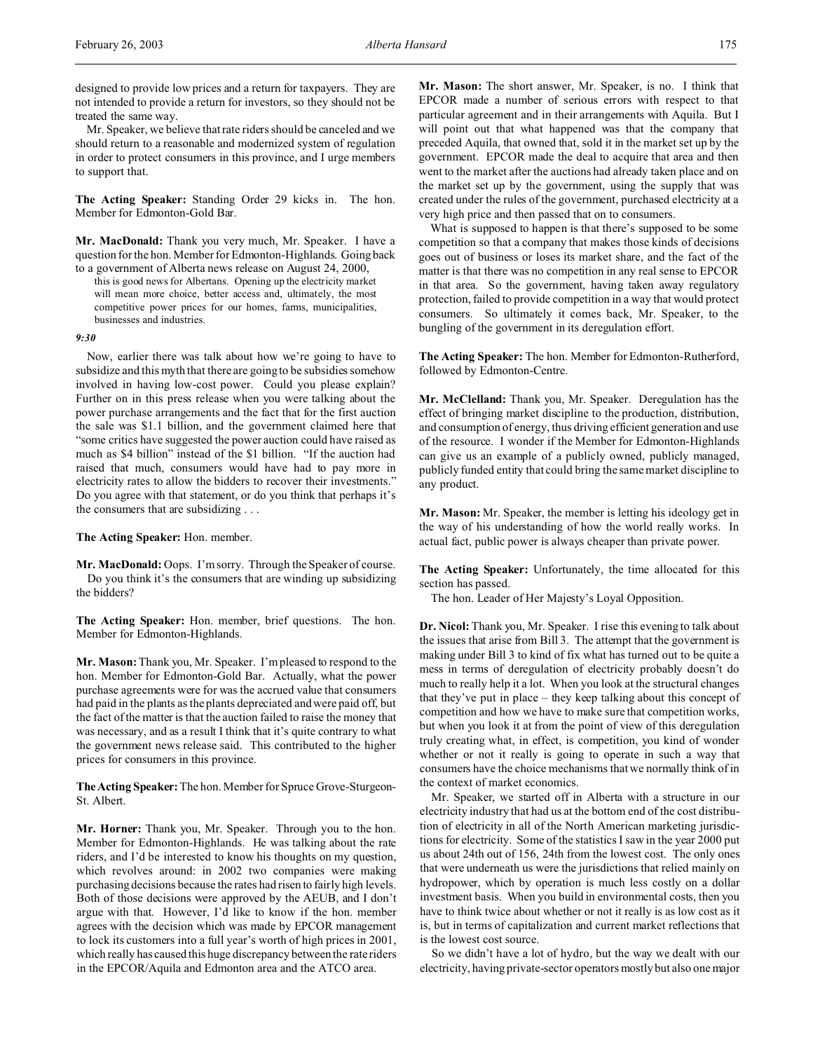designed to provide low prices and a return for taxpayers. They are not intended to provide a return for investors, so they should not be treated the same way.

Mr. Speaker, we believe that rate riders should be canceled and we should return to a reasonable and modernized system of regulation in order to protect consumers in this province, and I urge members to support that.

**The Acting Speaker:** Standing Order 29 kicks in. The hon. Member for Edmonton-Gold Bar.

**Mr. MacDonald:** Thank you very much, Mr. Speaker. I have a question for the hon. Member for Edmonton-Highlands. Going back to a government of Alberta news release on August 24, 2000,

this is good news for Albertans. Opening up the electricity market will mean more choice, better access and, ultimately, the most competitive power prices for our homes, farms, municipalities, businesses and industries.

#### *9:30*

Now, earlier there was talk about how we're going to have to subsidize and this myth that there are going to be subsidies somehow involved in having low-cost power. Could you please explain? Further on in this press release when you were talking about the power purchase arrangements and the fact that for the first auction the sale was \$1.1 billion, and the government claimed here that "some critics have suggested the power auction could have raised as much as \$4 billion" instead of the \$1 billion. "If the auction had raised that much, consumers would have had to pay more in electricity rates to allow the bidders to recover their investments." Do you agree with that statement, or do you think that perhaps it's the consumers that are subsidizing . . .

**The Acting Speaker:** Hon. member.

**Mr. MacDonald:** Oops. I'm sorry. Through the Speaker of course. Do you think it's the consumers that are winding up subsidizing the bidders?

**The Acting Speaker:** Hon. member, brief questions. The hon. Member for Edmonton-Highlands.

**Mr. Mason:** Thank you, Mr. Speaker. I'm pleased to respond to the hon. Member for Edmonton-Gold Bar. Actually, what the power purchase agreements were for was the accrued value that consumers had paid in the plants as the plants depreciated and were paid off, but the fact of the matter is that the auction failed to raise the money that was necessary, and as a result I think that it's quite contrary to what the government news release said. This contributed to the higher prices for consumers in this province.

**TheActing Speaker:** The hon. Member for Spruce Grove-Sturgeon-St. Albert.

**Mr. Horner:** Thank you, Mr. Speaker. Through you to the hon. Member for Edmonton-Highlands. He was talking about the rate riders, and I'd be interested to know his thoughts on my question, which revolves around: in 2002 two companies were making purchasing decisions because the rates had risen to fairly high levels. Both of those decisions were approved by the AEUB, and I don't argue with that. However, I'd like to know if the hon. member agrees with the decision which was made by EPCOR management to lock its customers into a full year's worth of high prices in 2001, which really has caused this huge discrepancy between the rate riders in the EPCOR/Aquila and Edmonton area and the ATCO area.

**Mr. Mason:** The short answer, Mr. Speaker, is no. I think that EPCOR made a number of serious errors with respect to that particular agreement and in their arrangements with Aquila. But I will point out that what happened was that the company that preceded Aquila, that owned that, sold it in the market set up by the government. EPCOR made the deal to acquire that area and then went to the market after the auctions had already taken place and on the market set up by the government, using the supply that was created under the rules of the government, purchased electricity at a very high price and then passed that on to consumers.

What is supposed to happen is that there's supposed to be some competition so that a company that makes those kinds of decisions goes out of business or loses its market share, and the fact of the matter is that there was no competition in any real sense to EPCOR in that area. So the government, having taken away regulatory protection, failed to provide competition in a way that would protect consumers. So ultimately it comes back, Mr. Speaker, to the bungling of the government in its deregulation effort.

**The Acting Speaker:** The hon. Member for Edmonton-Rutherford, followed by Edmonton-Centre.

**Mr. McClelland:** Thank you, Mr. Speaker. Deregulation has the effect of bringing market discipline to the production, distribution, and consumption of energy, thus driving efficient generation and use of the resource. I wonder if the Member for Edmonton-Highlands can give us an example of a publicly owned, publicly managed, publicly funded entity that could bring the same market discipline to any product.

**Mr. Mason:** Mr. Speaker, the member is letting his ideology get in the way of his understanding of how the world really works. In actual fact, public power is always cheaper than private power.

**The Acting Speaker:** Unfortunately, the time allocated for this section has passed.

The hon. Leader of Her Majesty's Loyal Opposition.

**Dr. Nicol:** Thank you, Mr. Speaker. I rise this evening to talk about the issues that arise from Bill 3. The attempt that the government is making under Bill 3 to kind of fix what has turned out to be quite a mess in terms of deregulation of electricity probably doesn't do much to really help it a lot. When you look at the structural changes that they've put in place – they keep talking about this concept of competition and how we have to make sure that competition works, but when you look it at from the point of view of this deregulation truly creating what, in effect, is competition, you kind of wonder whether or not it really is going to operate in such a way that consumers have the choice mechanisms that we normally think of in the context of market economics.

Mr. Speaker, we started off in Alberta with a structure in our electricity industry that had us at the bottom end of the cost distribution of electricity in all of the North American marketing jurisdictions for electricity. Some of the statistics I saw in the year 2000 put us about 24th out of 156, 24th from the lowest cost. The only ones that were underneath us were the jurisdictions that relied mainly on hydropower, which by operation is much less costly on a dollar investment basis. When you build in environmental costs, then you have to think twice about whether or not it really is as low cost as it is, but in terms of capitalization and current market reflections that is the lowest cost source.

So we didn't have a lot of hydro, but the way we dealt with our electricity, having private-sector operators mostly but also one major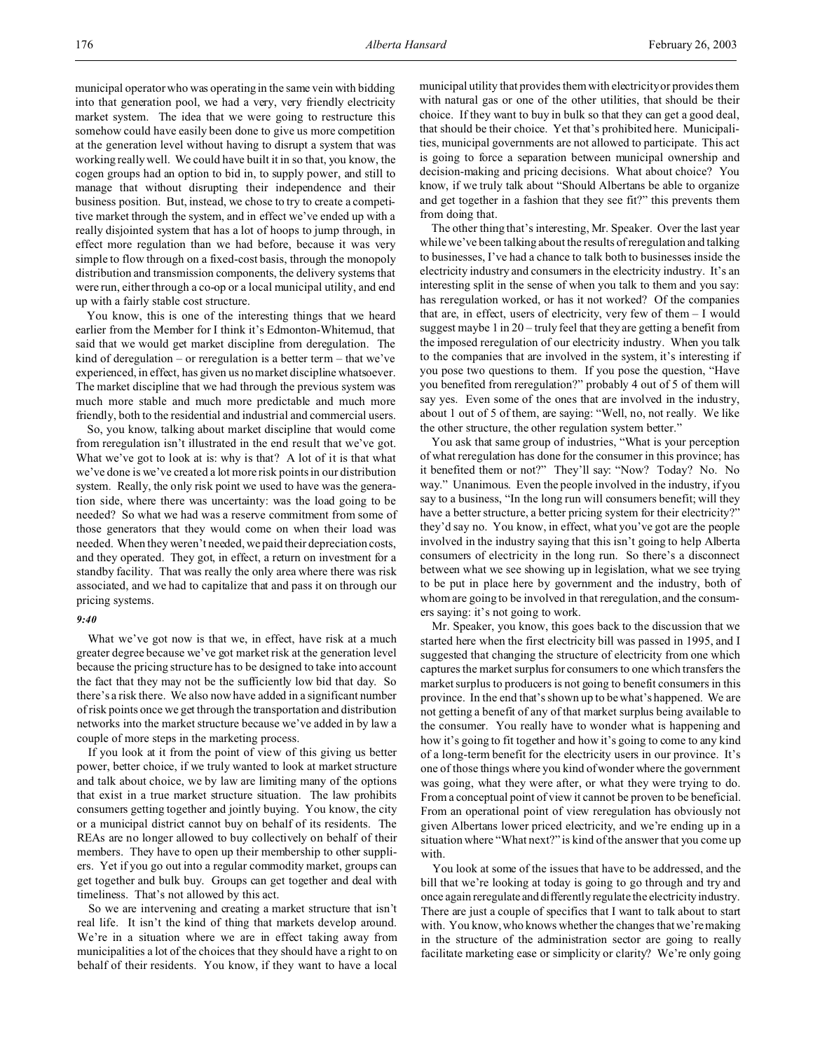municipal operator who was operating in the same vein with bidding into that generation pool, we had a very, very friendly electricity market system. The idea that we were going to restructure this somehow could have easily been done to give us more competition at the generation level without having to disrupt a system that was working really well. We could have built it in so that, you know, the cogen groups had an option to bid in, to supply power, and still to manage that without disrupting their independence and their business position. But, instead, we chose to try to create a competitive market through the system, and in effect we've ended up with a really disjointed system that has a lot of hoops to jump through, in effect more regulation than we had before, because it was very simple to flow through on a fixed-cost basis, through the monopoly distribution and transmission components, the delivery systems that were run, either through a co-op or a local municipal utility, and end up with a fairly stable cost structure.

You know, this is one of the interesting things that we heard earlier from the Member for I think it's Edmonton-Whitemud, that said that we would get market discipline from deregulation. The kind of deregulation – or reregulation is a better term – that we've experienced, in effect, has given us no market discipline whatsoever. The market discipline that we had through the previous system was much more stable and much more predictable and much more friendly, both to the residential and industrial and commercial users.

So, you know, talking about market discipline that would come from reregulation isn't illustrated in the end result that we've got. What we've got to look at is: why is that? A lot of it is that what we've done is we've created a lot more risk points in our distribution system. Really, the only risk point we used to have was the generation side, where there was uncertainty: was the load going to be needed? So what we had was a reserve commitment from some of those generators that they would come on when their load was needed. When they weren't needed, we paid their depreciation costs, and they operated. They got, in effect, a return on investment for a standby facility. That was really the only area where there was risk associated, and we had to capitalize that and pass it on through our pricing systems.

### *9:40*

What we've got now is that we, in effect, have risk at a much greater degree because we've got market risk at the generation level because the pricing structure has to be designed to take into account the fact that they may not be the sufficiently low bid that day. So there's a risk there. We also now have added in a significant number of risk points once we get through the transportation and distribution networks into the market structure because we've added in by law a couple of more steps in the marketing process.

If you look at it from the point of view of this giving us better power, better choice, if we truly wanted to look at market structure and talk about choice, we by law are limiting many of the options that exist in a true market structure situation. The law prohibits consumers getting together and jointly buying. You know, the city or a municipal district cannot buy on behalf of its residents. The REAs are no longer allowed to buy collectively on behalf of their members. They have to open up their membership to other suppliers. Yet if you go out into a regular commodity market, groups can get together and bulk buy. Groups can get together and deal with timeliness. That's not allowed by this act.

So we are intervening and creating a market structure that isn't real life. It isn't the kind of thing that markets develop around. We're in a situation where we are in effect taking away from municipalities a lot of the choices that they should have a right to on behalf of their residents. You know, if they want to have a local

municipal utility that provides them with electricity or provides them with natural gas or one of the other utilities, that should be their choice. If they want to buy in bulk so that they can get a good deal, that should be their choice. Yet that's prohibited here. Municipalities, municipal governments are not allowed to participate. This act is going to force a separation between municipal ownership and decision-making and pricing decisions. What about choice? You know, if we truly talk about "Should Albertans be able to organize and get together in a fashion that they see fit?" this prevents them from doing that.

The other thing that's interesting, Mr. Speaker. Over the last year while we've been talking about the results of reregulation and talking to businesses, I've had a chance to talk both to businesses inside the electricity industry and consumers in the electricity industry. It's an interesting split in the sense of when you talk to them and you say: has reregulation worked, or has it not worked? Of the companies that are, in effect, users of electricity, very few of them – I would suggest maybe 1 in 20 – truly feel that they are getting a benefit from the imposed reregulation of our electricity industry. When you talk to the companies that are involved in the system, it's interesting if you pose two questions to them. If you pose the question, "Have you benefited from reregulation?" probably 4 out of 5 of them will say yes. Even some of the ones that are involved in the industry, about 1 out of 5 of them, are saying: "Well, no, not really. We like the other structure, the other regulation system better."

You ask that same group of industries, "What is your perception of what reregulation has done for the consumer in this province; has it benefited them or not?" They'll say: "Now? Today? No. No way." Unanimous. Even the people involved in the industry, if you say to a business, "In the long run will consumers benefit; will they have a better structure, a better pricing system for their electricity?" they'd say no. You know, in effect, what you've got are the people involved in the industry saying that this isn't going to help Alberta consumers of electricity in the long run. So there's a disconnect between what we see showing up in legislation, what we see trying to be put in place here by government and the industry, both of whom are going to be involved in that reregulation, and the consumers saying: it's not going to work.

Mr. Speaker, you know, this goes back to the discussion that we started here when the first electricity bill was passed in 1995, and I suggested that changing the structure of electricity from one which captures the market surplus for consumers to one which transfers the market surplus to producers is not going to benefit consumers in this province. In the end that's shown up to be what's happened. We are not getting a benefit of any of that market surplus being available to the consumer. You really have to wonder what is happening and how it's going to fit together and how it's going to come to any kind of a long-term benefit for the electricity users in our province. It's one of those things where you kind of wonder where the government was going, what they were after, or what they were trying to do. From a conceptual point of view it cannot be proven to be beneficial. From an operational point of view reregulation has obviously not given Albertans lower priced electricity, and we're ending up in a situation where "What next?" is kind of the answer that you come up with.

You look at some of the issues that have to be addressed, and the bill that we're looking at today is going to go through and try and once again reregulate and differently regulate the electricity industry. There are just a couple of specifics that I want to talk about to start with. You know, who knows whether the changes that we're making in the structure of the administration sector are going to really facilitate marketing ease or simplicity or clarity? We're only going